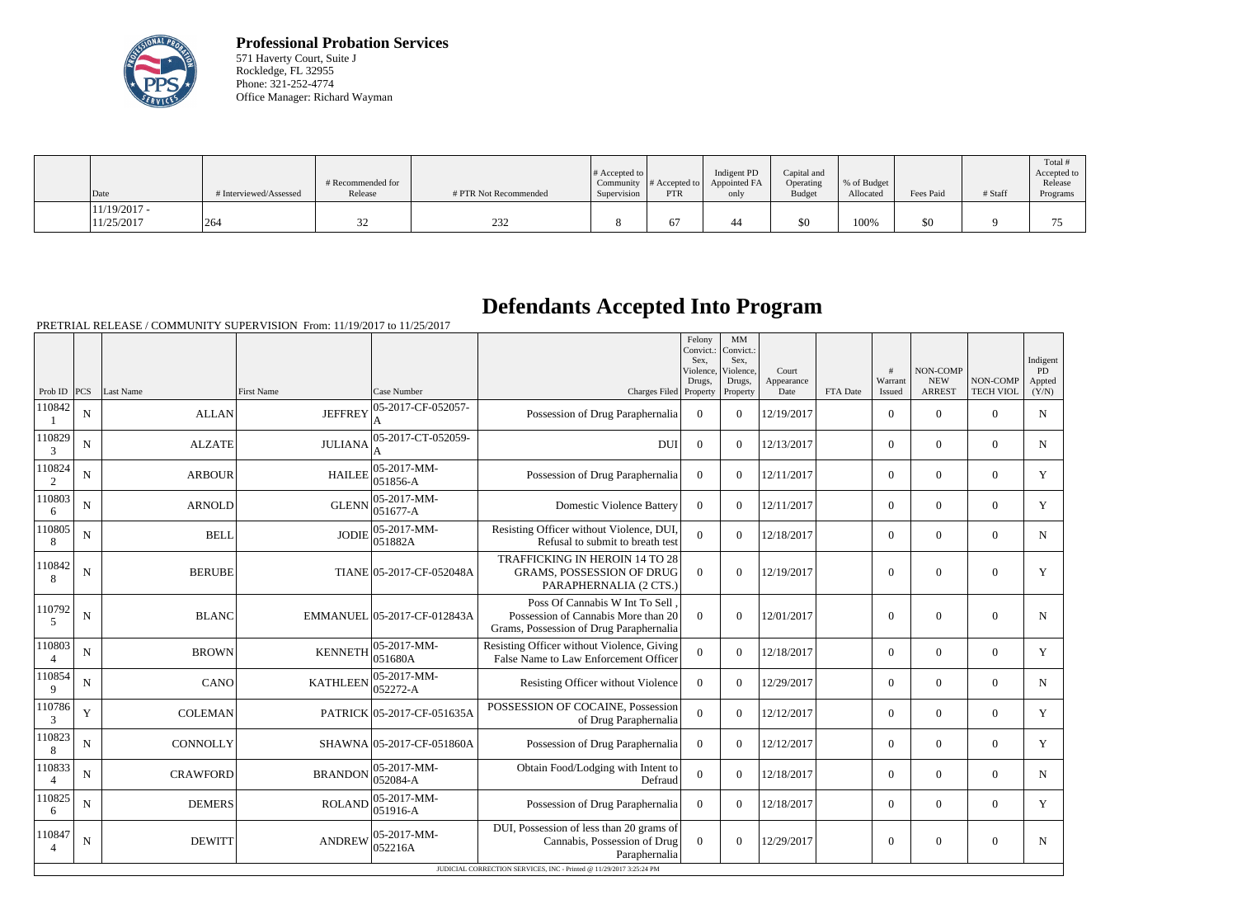

**Professional Probation Services** 571 Haverty Court, Suite J Rockledge, FL 32955 Phone: 321-252-4774 Office Manager: Richard Wayman

| $\vert$ Date                 | # Interviewed/Assessed | # Recommended for<br>Release | # PTR Not Recommended | $\#$ Accepted to $\ $<br>Supervision | Community $ #$ Accepted to $ $<br><b>PTR</b> | Indigent PD<br>Appointed FA<br>only | Capital and<br>Operating<br><b>Budget</b> | % of Budget<br>Allocated | Fees Paid | # Staff | Total<br>Accepted to<br>Release<br>Programs |
|------------------------------|------------------------|------------------------------|-----------------------|--------------------------------------|----------------------------------------------|-------------------------------------|-------------------------------------------|--------------------------|-----------|---------|---------------------------------------------|
| $11/19/2017$ -<br>11/25/2017 | 264                    | ىر                           | 232                   |                                      | $\sigma$                                     |                                     | \$0                                       | 100%                     | \$0       |         |                                             |

## **Defendants Accepted Into Program**

PRETRIAL RELEASE / COMMUNITY SUPERVISION From: 11/19/2017 to 11/25/2017

|                          |             |                 |                   |                             |                                                                                                                  | Felony<br>Convict.:<br>Sex.<br>Violence<br>Drugs. | $\mbox{MM}$<br>Convict.:<br>Sex,<br>Violence,<br>Drugs, | Court<br>Appearance |          | #<br>Warrant     | NON-COMP<br><b>NEW</b> | <b>NON-COMP</b>  | Indigent<br>PD<br>Appted |
|--------------------------|-------------|-----------------|-------------------|-----------------------------|------------------------------------------------------------------------------------------------------------------|---------------------------------------------------|---------------------------------------------------------|---------------------|----------|------------------|------------------------|------------------|--------------------------|
| Prob ID                  | PCS         | Last Name       | <b>First Name</b> | Case Number                 | Charges Filed Property                                                                                           |                                                   | Property                                                | Date                | FTA Date | Issued           | <b>ARREST</b>          | <b>TECH VIOL</b> | (Y/N)                    |
| 110842                   | ${\bf N}$   | <b>ALLAN</b>    | <b>JEFFREY</b>    | 05-2017-CF-052057-<br>A     | Possession of Drug Paraphernalia                                                                                 | $\overline{0}$                                    | $\theta$                                                | 12/19/2017          |          | $\overline{0}$   | $\theta$               | $\Omega$         | ${\bf N}$                |
| 110829<br>3              | N           | <b>ALZATE</b>   | <b>JULIANA</b>    | 05-2017-CT-052059-          | <b>DUI</b>                                                                                                       | $\overline{0}$                                    | $\Omega$                                                | 12/13/2017          |          | $\overline{0}$   | $\mathbf{0}$           | $\mathbf{0}$     | N                        |
| 110824<br>2              | N           | <b>ARBOUR</b>   | <b>HAILEE</b>     | 05-2017-MM-<br>051856-A     | Possession of Drug Paraphernalia                                                                                 | $\theta$                                          | $\Omega$                                                | 12/11/2017          |          | $\overline{0}$   | $\overline{0}$         | $\overline{0}$   | Y                        |
| 110803<br>6              | N           | <b>ARNOLD</b>   | <b>GLENN</b>      | 05-2017-MM-<br>051677-A     | <b>Domestic Violence Battery</b>                                                                                 | $\theta$                                          | $\Omega$                                                | 12/11/2017          |          | $\overline{0}$   | $\theta$               | $\overline{0}$   | Y                        |
| 110805<br>8              | N           | <b>BELL</b>     | <b>JODIE</b>      | 05-2017-MM-<br>051882A      | Resisting Officer without Violence, DUI,<br>Refusal to submit to breath test                                     | $\Omega$                                          | $\Omega$                                                | 12/18/2017          |          | $\overline{0}$   | $\overline{0}$         | $\overline{0}$   | N                        |
| 110842<br>8              | N           | <b>BERUBE</b>   |                   | TIANE 05-2017-CF-052048A    | TRAFFICKING IN HEROIN 14 TO 28<br><b>GRAMS, POSSESSION OF DRUG</b><br>PARAPHERNALIA (2 CTS.)                     | $\Omega$                                          | $\theta$                                                | 12/19/2017          |          | $\boldsymbol{0}$ | $\overline{0}$         | $\overline{0}$   | Y                        |
| 110792<br>5              | $\mathbf N$ | <b>BLANC</b>    |                   | EMMANUEL 05-2017-CF-012843A | Poss Of Cannabis W Int To Sell<br>Possession of Cannabis More than 20<br>Grams, Possession of Drug Paraphernalia | $\Omega$                                          | $\theta$                                                | 12/01/2017          |          | $\theta$         | $\theta$               | $\overline{0}$   | N                        |
| 110803<br>$\overline{4}$ | $\mathbf N$ | <b>BROWN</b>    | <b>KENNETH</b>    | 05-2017-MM-<br>051680A      | Resisting Officer without Violence, Giving<br>False Name to Law Enforcement Officer                              | $\overline{0}$                                    | $\theta$                                                | 12/18/2017          |          | $\Omega$         | $\theta$               | $\overline{0}$   | Y                        |
| 110854<br>9              | N           | <b>CANO</b>     | <b>KATHLEEN</b>   | 05-2017-MM-<br>052272-A     | Resisting Officer without Violence                                                                               | $\theta$                                          | $\theta$                                                | 12/29/2017          |          | $\Omega$         | $\theta$               | $\Omega$         | N                        |
| 110786<br>3              | Y           | <b>COLEMAN</b>  |                   | PATRICK 05-2017-CF-051635A  | POSSESSION OF COCAINE, Possession<br>of Drug Paraphernalia                                                       | $\overline{0}$                                    | $\theta$                                                | 12/12/2017          |          | $\Omega$         | $\theta$               | $\overline{0}$   | Y                        |
| 110823<br>8              | N           | <b>CONNOLLY</b> |                   | SHAWNA 05-2017-CF-051860A   | Possession of Drug Paraphernalia                                                                                 | $\theta$                                          | $\Omega$                                                | 12/12/2017          |          | $\overline{0}$   | $\theta$               | $\Omega$         | Y                        |
| 110833<br>$\overline{4}$ | N           | <b>CRAWFORD</b> | <b>BRANDON</b>    | 05-2017-MM-<br>052084-A     | Obtain Food/Lodging with Intent to<br>Defraud                                                                    | $\overline{0}$                                    | $\Omega$                                                | 12/18/2017          |          | $\overline{0}$   | $\overline{0}$         | $\Omega$         | $\mathbf N$              |
| 110825<br>6              | $\mathbf N$ | <b>DEMERS</b>   | <b>ROLAND</b>     | 05-2017-MM-<br>051916-A     | Possession of Drug Paraphernalia                                                                                 | $\overline{0}$                                    | $\Omega$                                                | 12/18/2017          |          | $\Omega$         | $\theta$               | $\overline{0}$   | Y                        |
| 110847<br>4              | $\mathbf N$ | <b>DEWITT</b>   | <b>ANDREW</b>     | 05-2017-MM-<br>052216A      | DUI, Possession of less than 20 grams of<br>Cannabis, Possession of Drug<br>Paraphernalia                        | $\Omega$                                          | $\theta$                                                | 12/29/2017          |          | $\theta$         | $\theta$               | $\Omega$         | N                        |
|                          |             |                 |                   |                             | JUDICIAL CORRECTION SERVICES, INC - Printed @ 11/29/2017 3:25:24 PM                                              |                                                   |                                                         |                     |          |                  |                        |                  |                          |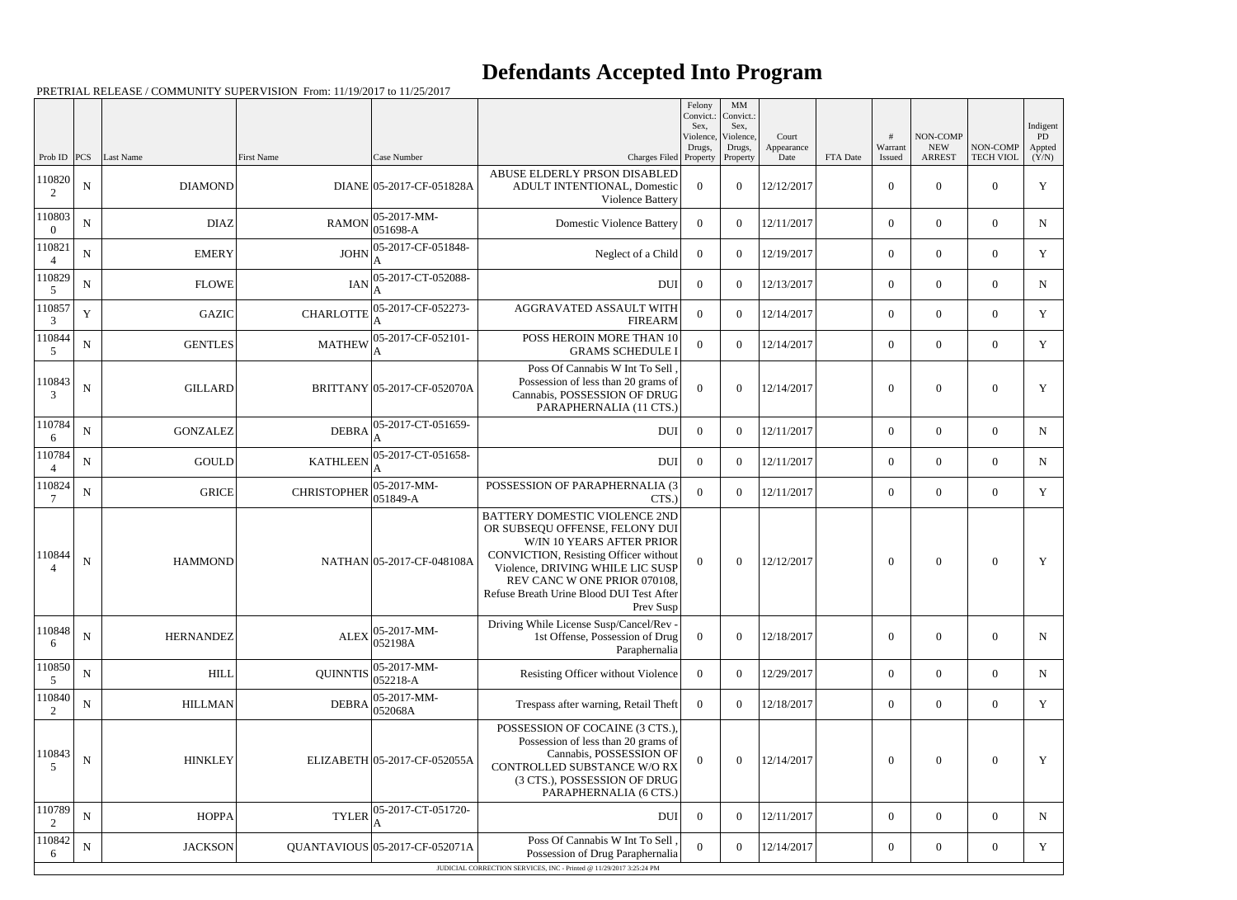PRETRIAL RELEASE / COMMUNITY SUPERVISION From: 11/19/2017 to 11/25/2017

|                    |             |                  |                    |                                                               |                                                                                                                                                                                                                                                                           | Felony<br>Convict.:<br>Sex, | MM<br>Convict.:<br>Sex,         |                             |          |                        |                                         |                              | Indigent              |
|--------------------|-------------|------------------|--------------------|---------------------------------------------------------------|---------------------------------------------------------------------------------------------------------------------------------------------------------------------------------------------------------------------------------------------------------------------------|-----------------------------|---------------------------------|-----------------------------|----------|------------------------|-----------------------------------------|------------------------------|-----------------------|
| Prob ID            | PCS         | <b>Last Name</b> | First Name         | Case Number                                                   | Charges Filed Property                                                                                                                                                                                                                                                    | Violence,<br>Drugs,         | Violence,<br>Drugs,<br>Property | Court<br>Appearance<br>Date | FTA Date | #<br>Warrant<br>Issued | NON-COMP<br><b>NEW</b><br><b>ARREST</b> | NON-COMP<br><b>TECH VIOL</b> | PD<br>Appted<br>(Y/N) |
| 110820<br>2        | $\mathbf N$ | <b>DIAMOND</b>   |                    | DIANE 05-2017-CF-051828A                                      | ABUSE ELDERLY PRSON DISABLED<br>ADULT INTENTIONAL, Domestic<br>Violence Battery                                                                                                                                                                                           | $\boldsymbol{0}$            | $\overline{0}$                  | 12/12/2017                  |          | $\boldsymbol{0}$       | $\overline{0}$                          | $\overline{0}$               | Y                     |
| 110803<br>$\Omega$ | $\mathbf N$ | <b>DIAZ</b>      | <b>RAMON</b>       | $ 05 - 2017 - MM -$<br>$ 051698-A$                            | <b>Domestic Violence Battery</b>                                                                                                                                                                                                                                          | $\Omega$                    | $\overline{0}$                  | 12/11/2017                  |          | $\overline{0}$         | $\overline{0}$                          | $\overline{0}$               | N                     |
| 110821<br>$\Delta$ | ${\bf N}$   | <b>EMERY</b>     | <b>JOHN</b>        | 05-2017-CF-051848-<br>A                                       | Neglect of a Child                                                                                                                                                                                                                                                        | $\overline{0}$              | $\Omega$                        | 12/19/2017                  |          | $\overline{0}$         | $\overline{0}$                          | $\overline{0}$               | $\mathbf Y$           |
| 110829<br>5        | ${\bf N}$   | <b>FLOWE</b>     | <b>IAN</b>         | 05-2017-CT-052088-                                            | <b>DUI</b>                                                                                                                                                                                                                                                                | $\overline{0}$              | $\Omega$                        | 12/13/2017                  |          | $\overline{0}$         | $\overline{0}$                          | $\overline{0}$               | N                     |
| 110857<br>3        | $\mathbf Y$ | <b>GAZIC</b>     | <b>CHARLOTTE</b>   | 05-2017-CF-052273-                                            | AGGRAVATED ASSAULT WITH<br><b>FIREARM</b>                                                                                                                                                                                                                                 | $\boldsymbol{0}$            | $\theta$                        | 12/14/2017                  |          | $\overline{0}$         | $\overline{0}$                          | $\Omega$                     | Y                     |
| 110844<br>5        | $\mathbf N$ | <b>GENTLES</b>   |                    | MATHEW 05-2017-CF-052101-                                     | POSS HEROIN MORE THAN 10<br><b>GRAMS SCHEDULE I</b>                                                                                                                                                                                                                       | $\Omega$                    | $\Omega$                        | 12/14/2017                  |          | $\overline{0}$         | $\overline{0}$                          | $\Omega$                     | Y                     |
| 110843<br>3        | ${\bf N}$   | <b>GILLARD</b>   |                    | BRITTANY 05-2017-CF-052070A                                   | Poss Of Cannabis W Int To Sell<br>Possession of less than 20 grams of<br>Cannabis, POSSESSION OF DRUG<br>PARAPHERNALIA (11 CTS.)                                                                                                                                          | $\mathbf{0}$                | $\theta$                        | 12/14/2017                  |          | $\boldsymbol{0}$       | $\overline{0}$                          | $\overline{0}$               | Y                     |
| 110784<br>6        | ${\bf N}$   | <b>GONZALEZ</b>  | <b>DEBRA</b>       | 05-2017-CT-051659-<br>A                                       | <b>DUI</b>                                                                                                                                                                                                                                                                | $\overline{0}$              | $\Omega$                        | 12/11/2017                  |          | $\overline{0}$         | $\Omega$                                | $\Omega$                     | N                     |
| 110784             | ${\bf N}$   | <b>GOULD</b>     | <b>KATHLEEN</b>    | 05-2017-CT-051658-                                            | <b>DUI</b>                                                                                                                                                                                                                                                                | $\overline{0}$              | $\Omega$                        | 12/11/2017                  |          | $\overline{0}$         | $\overline{0}$                          | $\overline{0}$               | N                     |
| 110824             | ${\bf N}$   | <b>GRICE</b>     | <b>CHRISTOPHER</b> | $ 05-2017-MM-$<br>$ 051849-A$                                 | POSSESSION OF PARAPHERNALIA (3<br>CTS.                                                                                                                                                                                                                                    | $\theta$                    | $\theta$                        | 12/11/2017                  |          | $\overline{0}$         | $\Omega$                                | $\Omega$                     | Y                     |
| 110844             | N           | <b>HAMMOND</b>   |                    | NATHAN 05-2017-CF-048108A                                     | <b>BATTERY DOMESTIC VIOLENCE 2ND</b><br>OR SUBSEQU OFFENSE, FELONY DUI<br>W/IN 10 YEARS AFTER PRIOR<br>CONVICTION, Resisting Officer without<br>Violence, DRIVING WHILE LIC SUSP<br>REV CANC W ONE PRIOR 070108,<br>Refuse Breath Urine Blood DUI Test After<br>Prev Susp | $\overline{0}$              | $\overline{0}$                  | 12/12/2017                  |          | $\boldsymbol{0}$       | $\overline{0}$                          | $\theta$                     | Y                     |
| 110848<br>6        | $\mathbf N$ | <b>HERNANDEZ</b> |                    | $\text{ALEX}\Big _{\text{OZ}}^{05-2017-MM-}$<br>052198A       | Driving While License Susp/Cancel/Rev -<br>1st Offense, Possession of Drug<br>Paraphernalia                                                                                                                                                                               | $\overline{0}$              | $\overline{0}$                  | 12/18/2017                  |          | $\overline{0}$         | $\overline{0}$                          | $\overline{0}$               | N                     |
| 110850<br>5        | ${\bf N}$   | <b>HILL</b>      |                    | QUINNTIS $\begin{array}{ l} 05-2017-MM-0.52218-A \end{array}$ | Resisting Officer without Violence                                                                                                                                                                                                                                        | $\overline{0}$              | $\overline{0}$                  | 12/29/2017                  |          | $\overline{0}$         | $\overline{0}$                          | $\Omega$                     | N                     |
| 110840<br>2        | ${\bf N}$   | <b>HILLMAN</b>   | <b>DEBRA</b>       | $ 05-2017-MM-$<br>052068A                                     | Trespass after warning, Retail Theft                                                                                                                                                                                                                                      | $\overline{0}$              | $\overline{0}$                  | 12/18/2017                  |          | $\overline{0}$         | $\overline{0}$                          | $\overline{0}$               | Y                     |
| 110843<br>5        | $\mathbf N$ | <b>HINKLEY</b>   |                    | ELIZABETH 05-2017-CF-052055A                                  | POSSESSION OF COCAINE (3 CTS.),<br>Possession of less than 20 grams of<br>Cannabis, POSSESSION OF<br>CONTROLLED SUBSTANCE W/O RX<br>(3 CTS.), POSSESSION OF DRUG<br>PARAPHERNALIA (6 CTS.)                                                                                | $\boldsymbol{0}$            | $\boldsymbol{0}$                | 12/14/2017                  |          | $\boldsymbol{0}$       | $\overline{0}$                          | $\boldsymbol{0}$             | Y                     |
| 110789<br>2        | ${\bf N}$   | <b>HOPPA</b>     | <b>TYLER</b>       | 05-2017-CT-051720-                                            | <b>DUI</b>                                                                                                                                                                                                                                                                | $\overline{0}$              | $\boldsymbol{0}$                | 12/11/2017                  |          | $\overline{0}$         | $\mathbf{0}$                            | $\overline{0}$               | N                     |
| 110842<br>6        | $\mathbf N$ | <b>JACKSON</b>   |                    | QUANTAVIOUS 05-2017-CF-052071A                                | Poss Of Cannabis W Int To Sell<br>Possession of Drug Paraphernalia                                                                                                                                                                                                        | $\overline{0}$              | $\boldsymbol{0}$                | 12/14/2017                  |          | $\boldsymbol{0}$       | $\mathbf{0}$                            | $\overline{0}$               | Y                     |
|                    |             |                  |                    |                                                               | JUDICIAL CORRECTION SERVICES, INC - Printed @ 11/29/2017 3:25:24 PM                                                                                                                                                                                                       |                             |                                 |                             |          |                        |                                         |                              |                       |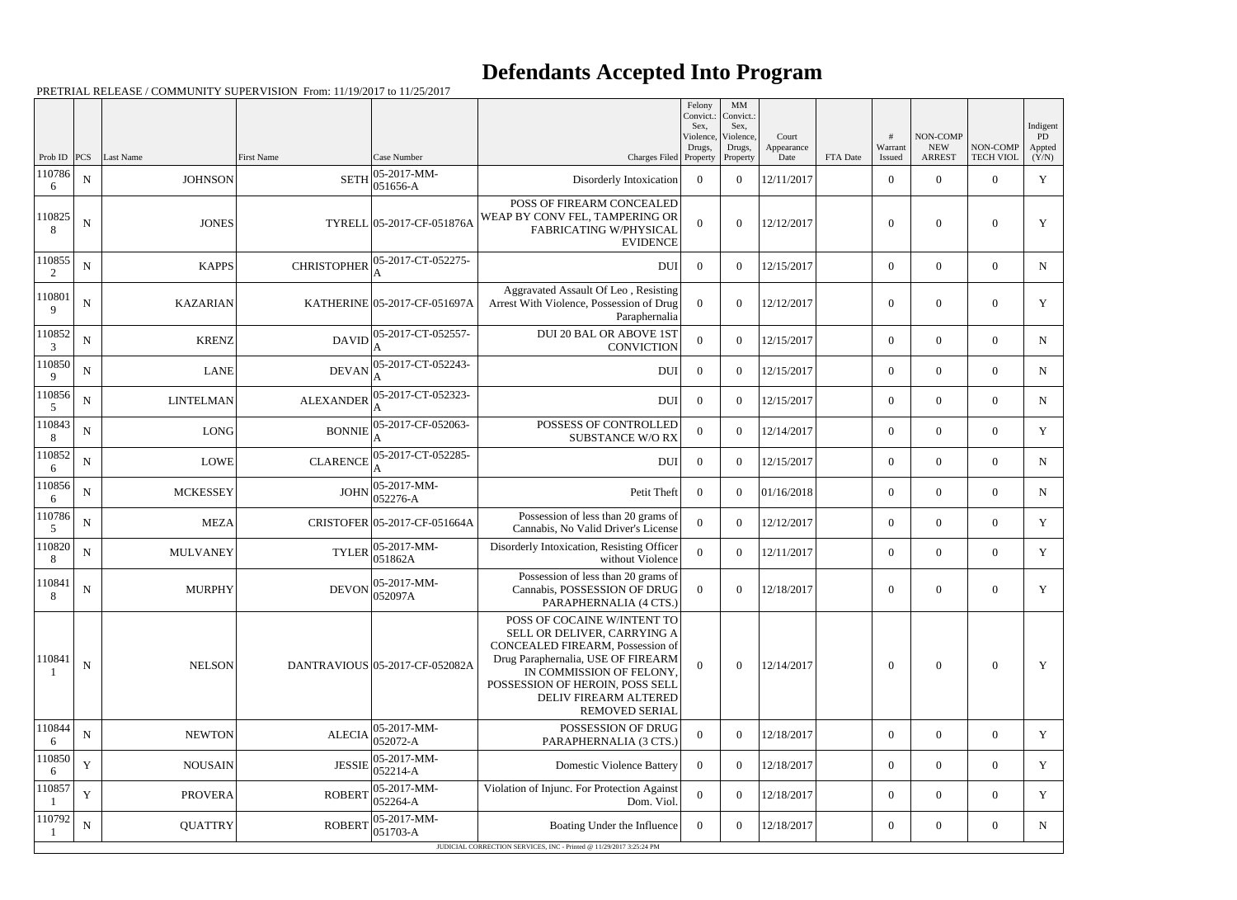PRETRIAL RELEASE / COMMUNITY SUPERVISION From: 11/19/2017 to 11/25/2017

|             |             |                  |                    |                                                |                                                                                                                                                                                                                                                       | Felony<br>Convict.:<br>Sex, | MM<br>Convict.:<br>Sex,         |                             |          |                   |                                         |                              | Indigent              |
|-------------|-------------|------------------|--------------------|------------------------------------------------|-------------------------------------------------------------------------------------------------------------------------------------------------------------------------------------------------------------------------------------------------------|-----------------------------|---------------------------------|-----------------------------|----------|-------------------|-----------------------------------------|------------------------------|-----------------------|
| Prob ID     | <b>PCS</b>  | Last Name        | First Name         | Case Number                                    | Charges Filed Property                                                                                                                                                                                                                                | Violence,<br>Drugs,         | Violence,<br>Drugs,<br>Property | Court<br>Appearance<br>Date | FTA Date | Warrant<br>Issued | NON-COMP<br><b>NEW</b><br><b>ARREST</b> | NON-COMP<br><b>TECH VIOL</b> | PD<br>Appted<br>(Y/N) |
| 110786<br>6 | ${\bf N}$   | <b>JOHNSON</b>   | <b>SETH</b>        | $05-2017-MM$ -<br>051656-A                     | Disorderly Intoxication                                                                                                                                                                                                                               | $\overline{0}$              | $\overline{0}$                  | 12/11/2017                  |          | $\overline{0}$    | $\overline{0}$                          | $\overline{0}$               | Y                     |
| 110825<br>8 | ${\bf N}$   | <b>JONES</b>     |                    | TYRELL 05-2017-CF-051876A                      | POSS OF FIREARM CONCEALED<br>WEAP BY CONV FEL, TAMPERING OR<br><b>FABRICATING W/PHYSICAL</b><br><b>EVIDENCE</b>                                                                                                                                       | $\theta$                    | $\overline{0}$                  | 12/12/2017                  |          | $\boldsymbol{0}$  | $\boldsymbol{0}$                        | $\boldsymbol{0}$             | Y                     |
| 110855<br>2 | ${\bf N}$   | <b>KAPPS</b>     | <b>CHRISTOPHER</b> | 05-2017-CT-052275-                             | <b>DUI</b>                                                                                                                                                                                                                                            | $\overline{0}$              | $\theta$                        | 12/15/2017                  |          | $\overline{0}$    | $\overline{0}$                          | $\overline{0}$               | $\mathbf N$           |
| 110801<br>9 | $\mathbf N$ | <b>KAZARIAN</b>  |                    | KATHERINE 05-2017-CF-051697A                   | Aggravated Assault Of Leo, Resisting<br>Arrest With Violence, Possession of Drug<br>Paraphernalia                                                                                                                                                     | $\theta$                    | $\Omega$                        | 12/12/2017                  |          | $\overline{0}$    | $\overline{0}$                          | $\overline{0}$               | Y                     |
| 110852<br>3 | $\mathbf N$ | <b>KRENZ</b>     |                    | $DAVID$ $\Big _{\Lambda}^{05-2017-CT-052557-}$ | <b>DUI 20 BAL OR ABOVE 1ST</b><br><b>CONVICTION</b>                                                                                                                                                                                                   | $\overline{0}$              | $\boldsymbol{0}$                | 12/15/2017                  |          | $\overline{0}$    | $\overline{0}$                          | $\overline{0}$               | N                     |
| 110850<br>9 | ${\bf N}$   | <b>LANE</b>      | <b>DEVAN</b>       | 05-2017-CT-052243-                             | <b>DUI</b>                                                                                                                                                                                                                                            | $\overline{0}$              | $\overline{0}$                  | 12/15/2017                  |          | $\overline{0}$    | $\overline{0}$                          | $\overline{0}$               | N                     |
| 110856<br>5 | $\mathbf N$ | <b>LINTELMAN</b> | <b>ALEXANDER</b>   | 05-2017-CT-052323-                             | <b>DUI</b>                                                                                                                                                                                                                                            | $\overline{0}$              | $\theta$                        | 12/15/2017                  |          | $\overline{0}$    | $\overline{0}$                          | $\overline{0}$               | $\mathbf N$           |
| 110843<br>8 | ${\bf N}$   | <b>LONG</b>      |                    | BONNIE 05-2017-CF-052063-                      | POSSESS OF CONTROLLED<br><b>SUBSTANCE W/O RX</b>                                                                                                                                                                                                      | $\Omega$                    | $\theta$                        | 12/14/2017                  |          | $\overline{0}$    | $\overline{0}$                          | $\overline{0}$               | Y                     |
| 110852<br>6 | ${\bf N}$   | <b>LOWE</b>      | <b>CLARENCE</b>    | 05-2017-CT-052285-                             | <b>DUI</b>                                                                                                                                                                                                                                            | $\overline{0}$              | $\Omega$                        | 12/15/2017                  |          | $\overline{0}$    | $\overline{0}$                          | $\overline{0}$               | $\mathbf N$           |
| 110856<br>6 | ${\bf N}$   | <b>MCKESSEY</b>  | JOHN               | 05-2017-MM-<br>052276-A                        | Petit Theft                                                                                                                                                                                                                                           | $\overline{0}$              | $\theta$                        | 01/16/2018                  |          | $\overline{0}$    | $\overline{0}$                          | $\overline{0}$               | N                     |
| 110786<br>5 | ${\bf N}$   | <b>MEZA</b>      |                    | CRISTOFER 05-2017-CF-051664A                   | Possession of less than 20 grams of<br>Cannabis, No Valid Driver's License                                                                                                                                                                            | $\mathbf{0}$                | $\theta$                        | 12/12/2017                  |          | $\overline{0}$    | $\overline{0}$                          | $\overline{0}$               | Y                     |
| 110820<br>8 | ${\bf N}$   | <b>MULVANEY</b>  | <b>TYLER</b>       | $ 05-2017-MM-$<br>051862A                      | Disorderly Intoxication, Resisting Officer<br>without Violence                                                                                                                                                                                        | $\boldsymbol{0}$            | $\overline{0}$                  | 12/11/2017                  |          | $\overline{0}$    | $\overline{0}$                          | $\overline{0}$               | Y                     |
| 110841<br>8 | ${\bf N}$   | <b>MURPHY</b>    | <b>DEVON</b>       | $ 05-2017-MM-$<br>052097A                      | Possession of less than 20 grams of<br>Cannabis, POSSESSION OF DRUG<br>PARAPHERNALIA (4 CTS.)                                                                                                                                                         | $\mathbf{0}$                | $\boldsymbol{0}$                | 12/18/2017                  |          | $\boldsymbol{0}$  | $\overline{0}$                          | $\overline{0}$               | Y                     |
| 110841      | ${\bf N}$   | <b>NELSON</b>    |                    | DANTRAVIOUS 05-2017-CF-052082A                 | POSS OF COCAINE W/INTENT TO<br>SELL OR DELIVER, CARRYING A<br>CONCEALED FIREARM, Possession of<br>Drug Paraphernalia, USE OF FIREARM<br>IN COMMISSION OF FELONY,<br>POSSESSION OF HEROIN, POSS SELL<br>DELIV FIREARM ALTERED<br><b>REMOVED SERIAL</b> | $\theta$                    | $\overline{0}$                  | 12/14/2017                  |          | $\boldsymbol{0}$  | $\mathbf{0}$                            | $\overline{0}$               | Y                     |
| 110844<br>6 | ${\bf N}$   | <b>NEWTON</b>    | <b>ALECIA</b>      | $ 05-2017-MM-$<br>052072-A                     | POSSESSION OF DRUG<br>PARAPHERNALIA (3 CTS.)                                                                                                                                                                                                          | $\mathbf{0}$                | $\theta$                        | 12/18/2017                  |          | $\overline{0}$    | $\overline{0}$                          | $\theta$                     | Y                     |
| 110850<br>6 | $\mathbf Y$ | <b>NOUSAIN</b>   | <b>JESSIE</b>      | $05-2017-MM$ -<br>052214-A                     | <b>Domestic Violence Battery</b>                                                                                                                                                                                                                      | $\overline{0}$              | $\theta$                        | 12/18/2017                  |          | $\overline{0}$    | $\overline{0}$                          | $\overline{0}$               | Y                     |
| 110857      | Y           | <b>PROVERA</b>   | <b>ROBERT</b>      | $05-2017-MM$ -<br>052264-A                     | Violation of Injunc. For Protection Against<br>Dom. Viol.                                                                                                                                                                                             | $\overline{0}$              | $\boldsymbol{0}$                | 12/18/2017                  |          | $\overline{0}$    | $\overline{0}$                          | $\theta$                     | Y                     |
| 110792      | ${\bf N}$   | <b>QUATTRY</b>   | <b>ROBERT</b>      | 05-2017-MM-<br>$ 051703-A$                     | Boating Under the Influence                                                                                                                                                                                                                           | $\overline{0}$              | $\overline{0}$                  | 12/18/2017                  |          | $\overline{0}$    | $\overline{0}$                          | $\overline{0}$               | N                     |
|             |             |                  |                    |                                                | JUDICIAL CORRECTION SERVICES, INC - Printed @ 11/29/2017 3:25:24 PM                                                                                                                                                                                   |                             |                                 |                             |          |                   |                                         |                              |                       |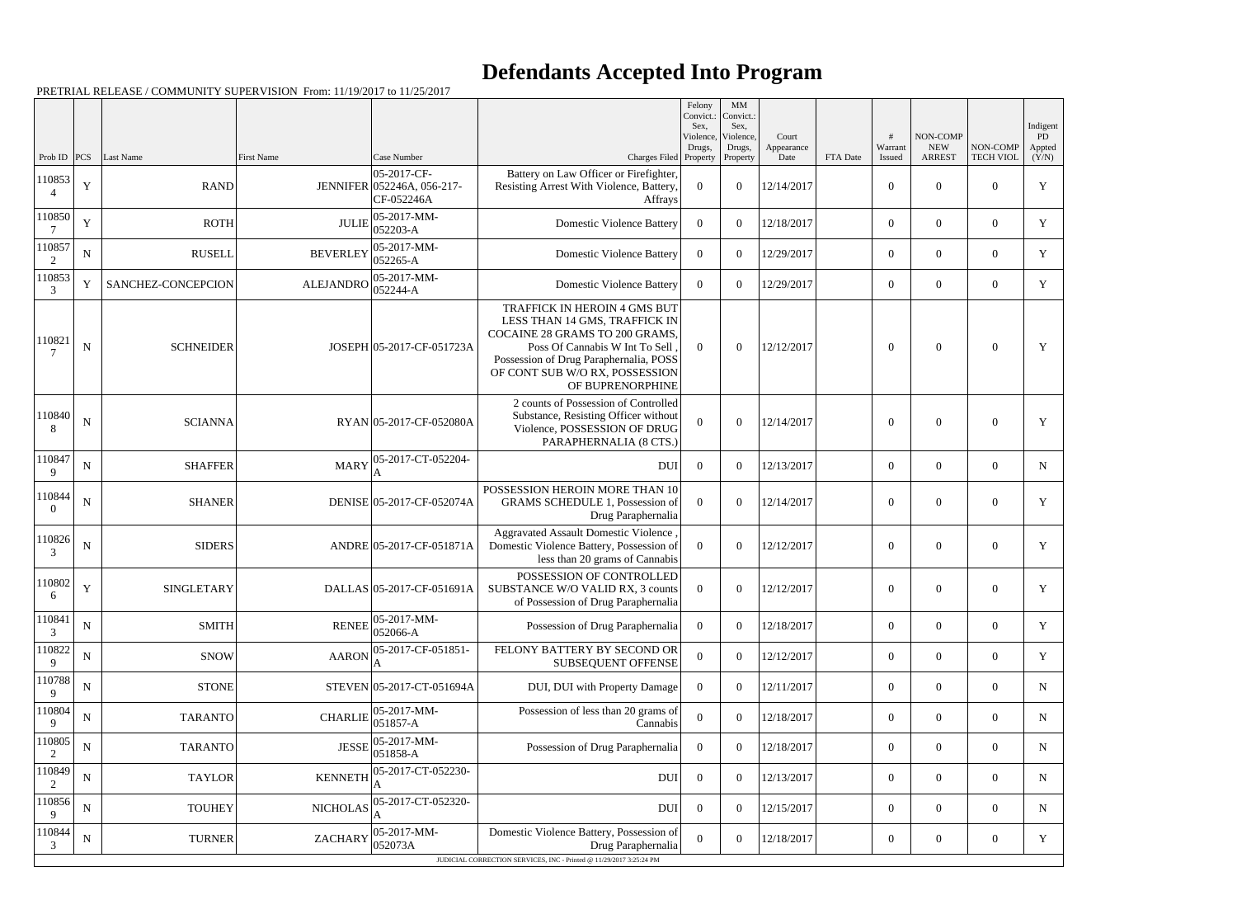PRETRIAL RELEASE / COMMUNITY SUPERVISION From: 11/19/2017 to 11/25/2017

|             |             |                    |                  |                                                         |                                                                                                                                                                                                                                   | Felony<br>Convict.:<br>Sex. | $\mbox{MM}$<br>Convict.:<br>Sex, |                             |          |                        |                                         |                              | Indigent              |
|-------------|-------------|--------------------|------------------|---------------------------------------------------------|-----------------------------------------------------------------------------------------------------------------------------------------------------------------------------------------------------------------------------------|-----------------------------|----------------------------------|-----------------------------|----------|------------------------|-----------------------------------------|------------------------------|-----------------------|
| Prob ID     | PCS         | Last Name          | First Name       | Case Number                                             | Charges Filed Property                                                                                                                                                                                                            | Violence,<br>Drugs,         | Violence,<br>Drugs,<br>Property  | Court<br>Appearance<br>Date | FTA Date | #<br>Warrant<br>Issued | NON-COMP<br><b>NEW</b><br><b>ARREST</b> | NON-COMP<br><b>TECH VIOL</b> | PD<br>Appted<br>(Y/N) |
| 110853<br>4 | $\mathbf Y$ | <b>RAND</b>        |                  | 05-2017-CF-<br>JENNIFER 052246A, 056-217-<br>CF-052246A | Battery on Law Officer or Firefighter,<br>Resisting Arrest With Violence, Battery,<br>Affrays                                                                                                                                     | $\overline{0}$              | $\overline{0}$                   | 12/14/2017                  |          | $\overline{0}$         | $\overline{0}$                          | $\Omega$                     | $\mathbf Y$           |
| 110850      | Y           | <b>ROTH</b>        | <b>JULIE</b>     | 05-2017-MM-<br>$052203 - A$                             | <b>Domestic Violence Battery</b>                                                                                                                                                                                                  | $\Omega$                    | $\theta$                         | 12/18/2017                  |          | $\overline{0}$         | $\overline{0}$                          | $\overline{0}$               | Y                     |
| 110857<br>2 | ${\bf N}$   | <b>RUSELL</b>      | <b>BEVERLEY</b>  | 05-2017-MM-<br>052265-A                                 | <b>Domestic Violence Battery</b>                                                                                                                                                                                                  | $\overline{0}$              | $\theta$                         | 12/29/2017                  |          | $\overline{0}$         | $\overline{0}$                          | $\theta$                     | Y                     |
| 110853      | Y           | SANCHEZ-CONCEPCION | <b>ALEJANDRO</b> | 05-2017-MM-<br>052244-A                                 | <b>Domestic Violence Battery</b>                                                                                                                                                                                                  | $\overline{0}$              | $\overline{0}$                   | 12/29/2017                  |          | $\overline{0}$         | $\overline{0}$                          | $\overline{0}$               | Y                     |
| 110821      | N           | <b>SCHNEIDER</b>   |                  | JOSEPH 05-2017-CF-051723A                               | TRAFFICK IN HEROIN 4 GMS BUT<br>LESS THAN 14 GMS, TRAFFICK IN<br>COCAINE 28 GRAMS TO 200 GRAMS.<br>Poss Of Cannabis W Int To Sell<br>Possession of Drug Paraphernalia, POSS<br>OF CONT SUB W/O RX, POSSESSION<br>OF BUPRENORPHINE | $\Omega$                    | $\theta$                         | 12/12/2017                  |          | $\boldsymbol{0}$       | $\overline{0}$                          | $\mathbf{0}$                 | Y                     |
| 110840<br>8 | ${\bf N}$   | <b>SCIANNA</b>     |                  | RYAN 05-2017-CF-052080A                                 | 2 counts of Possession of Controlled<br>Substance, Resisting Officer without<br>Violence, POSSESSION OF DRUG<br>PARAPHERNALIA (8 CTS.)                                                                                            | $\theta$                    | $\overline{0}$                   | 12/14/2017                  |          | $\overline{0}$         | $\Omega$                                | $\Omega$                     | Y                     |
| 110847<br>9 | ${\bf N}$   | <b>SHAFFER</b>     | <b>MARY</b>      | 05-2017-CT-052204-                                      | <b>DUI</b>                                                                                                                                                                                                                        | $\overline{0}$              | $\theta$                         | 12/13/2017                  |          | $\overline{0}$         | $\overline{0}$                          | $\overline{0}$               | N                     |
| 110844      | $\mathbf N$ | <b>SHANER</b>      |                  | DENISE 05-2017-CF-052074A                               | POSSESSION HEROIN MORE THAN 10<br>GRAMS SCHEDULE 1, Possession of<br>Drug Paraphernalia                                                                                                                                           | $\theta$                    | $\theta$                         | 12/14/2017                  |          | $\overline{0}$         | $\overline{0}$                          | $\theta$                     | Y                     |
| 110826<br>3 | $\mathbf N$ | <b>SIDERS</b>      |                  | ANDRE 05-2017-CF-051871A                                | <b>Aggravated Assault Domestic Violence</b><br>Domestic Violence Battery, Possession of<br>less than 20 grams of Cannabis                                                                                                         | $\theta$                    | $\overline{0}$                   | 12/12/2017                  |          | $\overline{0}$         | $\overline{0}$                          | $\theta$                     | Y                     |
| 110802<br>6 | Y           | <b>SINGLETARY</b>  |                  | DALLAS 05-2017-CF-051691A                               | POSSESSION OF CONTROLLED<br>SUBSTANCE W/O VALID RX, 3 counts<br>of Possession of Drug Paraphernalia                                                                                                                               | $\overline{0}$              | $\theta$                         | 12/12/2017                  |          | $\boldsymbol{0}$       | $\overline{0}$                          | $\overline{0}$               | Y                     |
| 110841<br>3 | ${\bf N}$   | <b>SMITH</b>       | <b>RENEE</b>     | 05-2017-MM-<br>052066-A                                 | Possession of Drug Paraphernalia                                                                                                                                                                                                  | $\boldsymbol{0}$            | $\overline{0}$                   | 12/18/2017                  |          | $\overline{0}$         | $\overline{0}$                          | $\theta$                     | Y                     |
| 110822<br>9 | N           | <b>SNOW</b>        | <b>AARON</b>     | 05-2017-CF-051851-                                      | FELONY BATTERY BY SECOND OR<br>SUBSEQUENT OFFENSE                                                                                                                                                                                 | $\boldsymbol{0}$            | $\boldsymbol{0}$                 | 12/12/2017                  |          | $\overline{0}$         | $\overline{0}$                          | $\overline{0}$               | Y                     |
| 110788<br>9 | ${\bf N}$   | <b>STONE</b>       |                  | STEVEN 05-2017-CT-051694A                               | DUI, DUI with Property Damage                                                                                                                                                                                                     | $\overline{0}$              | $\overline{0}$                   | 12/11/2017                  |          | $\overline{0}$         | $\overline{0}$                          | $\overline{0}$               | N                     |
| 110804      | N           | <b>TARANTO</b>     | <b>CHARLIE</b>   | 05-2017-MM-<br>$051857 - A$                             | Possession of less than 20 grams of<br>Cannabis                                                                                                                                                                                   | $\overline{0}$              | $\theta$                         | 12/18/2017                  |          | $\overline{0}$         | $\overline{0}$                          | $\overline{0}$               | $\mathbf N$           |
| 110805<br>2 | ${\bf N}$   | <b>TARANTO</b>     | <b>JESSE</b>     | 05-2017-MM-<br>051858-A                                 | Possession of Drug Paraphernalia                                                                                                                                                                                                  | $\overline{0}$              | $\theta$                         | 12/18/2017                  |          | $\overline{0}$         | $\overline{0}$                          | $\overline{0}$               | N                     |
| 110849<br>2 | N           | <b>TAYLOR</b>      | <b>KENNETH</b>   | 05-2017-CT-052230-                                      | DUI                                                                                                                                                                                                                               | $\overline{0}$              | $\theta$                         | 12/13/2017                  |          | $\overline{0}$         | $\overline{0}$                          | $\overline{0}$               | $\mathbf N$           |
| 110856<br>9 | ${\bf N}$   | <b>TOUHEY</b>      | <b>NICHOLAS</b>  | 05-2017-CT-052320-                                      | <b>DUI</b>                                                                                                                                                                                                                        | $\overline{0}$              | $\theta$                         | 12/15/2017                  |          | $\overline{0}$         | $\overline{0}$                          | $\overline{0}$               | N                     |
| 110844<br>3 | $\mathbf N$ | <b>TURNER</b>      | <b>ZACHARY</b>   | 05-2017-MM-<br>052073A                                  | Domestic Violence Battery, Possession of<br>Drug Paraphernalia                                                                                                                                                                    | $\overline{0}$              | $\boldsymbol{0}$                 | 12/18/2017                  |          | $\boldsymbol{0}$       | $\overline{0}$                          | $\overline{0}$               | Y                     |
|             |             |                    |                  |                                                         | JUDICIAL CORRECTION SERVICES, INC - Printed @ 11/29/2017 3:25:24 PM                                                                                                                                                               |                             |                                  |                             |          |                        |                                         |                              |                       |